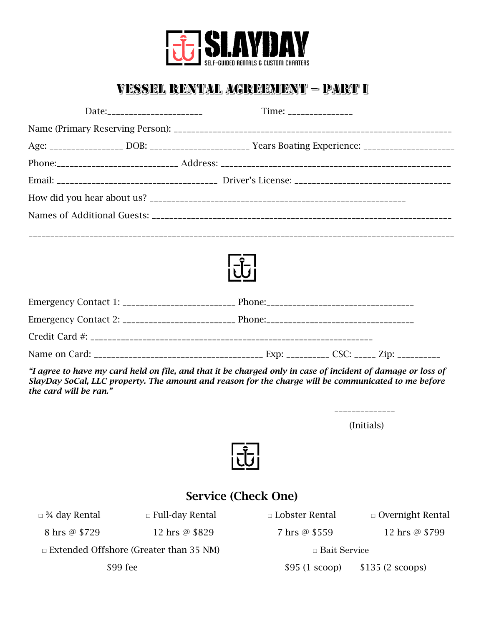

# VESSEL RENTAL AGREEMENT - PART I

| Date:________________________ |  | Time: ________________                                                                              |  |
|-------------------------------|--|-----------------------------------------------------------------------------------------------------|--|
|                               |  |                                                                                                     |  |
|                               |  | Age: _________________ DOB: _______________________ Years Boating Experience: _____________________ |  |
|                               |  |                                                                                                     |  |
|                               |  |                                                                                                     |  |
|                               |  |                                                                                                     |  |
|                               |  |                                                                                                     |  |
|                               |  |                                                                                                     |  |
|                               |  |                                                                                                     |  |
|                               |  |                                                                                                     |  |
|                               |  |                                                                                                     |  |
|                               |  |                                                                                                     |  |
|                               |  |                                                                                                     |  |
|                               |  |                                                                                                     |  |
|                               |  |                                                                                                     |  |

Name on Card: \_\_\_\_\_\_\_\_\_\_\_\_\_\_\_\_\_\_\_\_\_\_\_\_\_\_\_\_\_\_\_\_\_\_\_\_\_\_\_ Exp: \_\_\_\_\_\_\_\_\_\_ CSC: \_\_\_\_\_ Zip: \_\_\_\_\_\_\_\_\_\_

*"I agree to have my card held on file, and that it be charged only in case of incident of damage or loss of SlayDay SoCal, LLC property. The amount and reason for the charge will be communicated to me before the card will be ran."*

> \_\_\_\_\_\_\_\_\_\_\_\_\_\_ (Initials)



## Service (Check One)

| $\Box$ 3⁄4 day Rental                         | $\Box$ Full-day Rental | $\Box$ Lobster Rental | $\Box$ Overnight Rental |
|-----------------------------------------------|------------------------|-----------------------|-------------------------|
| 8 hrs @ \$729                                 | 12 hrs @ \$829         | 7 hrs @ \$559         | 12 hrs @ \$799          |
| $\Box$ Extended Offshore (Greater than 35 NM) |                        | $\Box$ Bait Service   |                         |
| \$99 fee                                      |                        | $$95(1\text{ scoop})$ | $$135(2~\text{scoops})$ |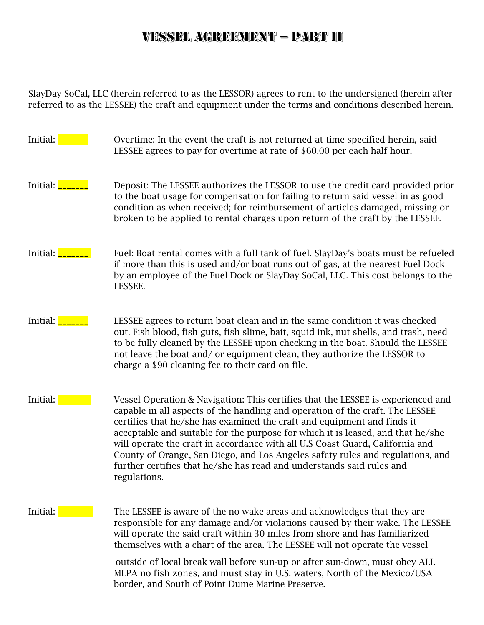## VESSEL AGREEMENT - PART II

SlayDay SoCal, LLC (herein referred to as the LESSOR) agrees to rent to the undersigned (herein after referred to as the LESSEE) the craft and equipment under the terms and conditions described herein.

| Initial: $\frac{\ }{\ }$ | Overtime: In the event the craft is not returned at time specified herein, said<br>LESSEE agrees to pay for overtime at rate of \$60.00 per each half hour.                                                                                                                                                                                                                                                                                                                                                                                                                                 |
|--------------------------|---------------------------------------------------------------------------------------------------------------------------------------------------------------------------------------------------------------------------------------------------------------------------------------------------------------------------------------------------------------------------------------------------------------------------------------------------------------------------------------------------------------------------------------------------------------------------------------------|
| Initial: <u>L</u>        | Deposit: The LESSEE authorizes the LESSOR to use the credit card provided prior<br>to the boat usage for compensation for failing to return said vessel in as good<br>condition as when received; for reimbursement of articles damaged, missing or<br>broken to be applied to rental charges upon return of the craft by the LESSEE.                                                                                                                                                                                                                                                       |
| Initial: <b>____</b>     | Fuel: Boat rental comes with a full tank of fuel. SlayDay's boats must be refueled<br>if more than this is used and/or boat runs out of gas, at the nearest Fuel Dock<br>by an employee of the Fuel Dock or SlayDay SoCal, LLC. This cost belongs to the<br>LESSEE.                                                                                                                                                                                                                                                                                                                         |
| Initial: <b>__</b>       | LESSEE agrees to return boat clean and in the same condition it was checked<br>out. Fish blood, fish guts, fish slime, bait, squid ink, nut shells, and trash, need<br>to be fully cleaned by the LESSEE upon checking in the boat. Should the LESSEE<br>not leave the boat and/or equipment clean, they authorize the LESSOR to<br>charge a \$90 cleaning fee to their card on file.                                                                                                                                                                                                       |
| Initial: $\frac{\ }{\ }$ | Vessel Operation & Navigation: This certifies that the LESSEE is experienced and<br>capable in all aspects of the handling and operation of the craft. The LESSEE<br>certifies that he/she has examined the craft and equipment and finds it<br>acceptable and suitable for the purpose for which it is leased, and that he/she<br>will operate the craft in accordance with all U.S Coast Guard, California and<br>County of Orange, San Diego, and Los Angeles safety rules and regulations, and<br>further certifies that he/she has read and understands said rules and<br>regulations. |
| Initial:                 | The LESSEE is aware of the no wake areas and acknowledges that they are<br>responsible for any damage and/or violations caused by their wake. The LESSEE<br>will operate the said craft within 30 miles from shore and has familiarized<br>themselves with a chart of the area. The LESSEE will not operate the vessel<br>outside of local break wall before sun-up or after sun-down, must obey ALL                                                                                                                                                                                        |

MLPA no fish zones, and must stay in U.S. waters, North of the Mexico/USA border, and South of Point Dume Marine Preserve.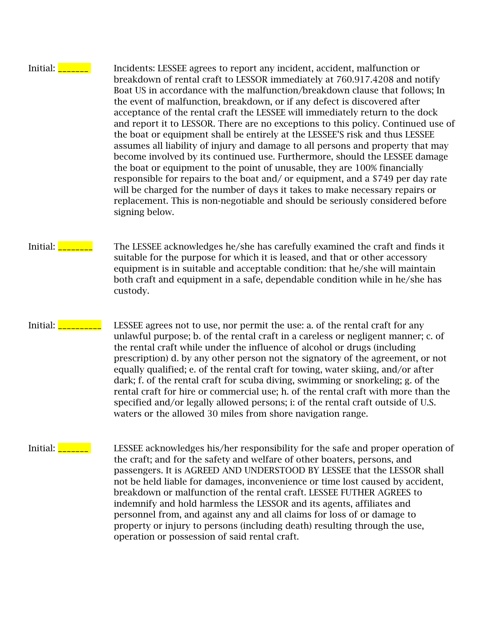Initial: **\_\_\_\_\_\_** Incidents: LESSEE agrees to report any incident, accident, malfunction or breakdown of rental craft to LESSOR immediately at 760.917.4208 and notify Boat US in accordance with the malfunction/breakdown clause that follows; In the event of malfunction, breakdown, or if any defect is discovered after acceptance of the rental craft the LESSEE will immediately return to the dock and report it to LESSOR. There are no exceptions to this policy. Continued use of the boat or equipment shall be entirely at the LESSEE'S risk and thus LESSEE assumes all liability of injury and damage to all persons and property that may become involved by its continued use. Furthermore, should the LESSEE damage the boat or equipment to the point of unusable, they are 100% financially responsible for repairs to the boat and/ or equipment, and a \$749 per day rate will be charged for the number of days it takes to make necessary repairs or replacement. This is non-negotiable and should be seriously considered before signing below.

- Initial: <u>\_\_\_\_\_\_\_</u> The LESSEE acknowledges he/she has carefully examined the craft and finds it suitable for the purpose for which it is leased, and that or other accessory equipment is in suitable and acceptable condition: that he/she will maintain both craft and equipment in a safe, dependable condition while in he/she has custody.
- Initial: **<u>\_\_\_\_\_\_\_\_</u>** LESSEE agrees not to use, nor permit the use: a. of the rental craft for any unlawful purpose; b. of the rental craft in a careless or negligent manner; c. of the rental craft while under the influence of alcohol or drugs (including prescription) d. by any other person not the signatory of the agreement, or not equally qualified; e. of the rental craft for towing, water skiing, and/or after dark; f. of the rental craft for scuba diving, swimming or snorkeling; g. of the rental craft for hire or commercial use; h. of the rental craft with more than the specified and/or legally allowed persons; i: of the rental craft outside of U.S. waters or the allowed 30 miles from shore navigation range.
- Initial: **We can also EXECUTE:** LESSEE acknowledges his/her responsibility for the safe and proper operation of the craft; and for the safety and welfare of other boaters, persons, and passengers. It is AGREED AND UNDERSTOOD BY LESSEE that the LESSOR shall not be held liable for damages, inconvenience or time lost caused by accident, breakdown or malfunction of the rental craft. LESSEE FUTHER AGREES to indemnify and hold harmless the LESSOR and its agents, affiliates and personnel from, and against any and all claims for loss of or damage to property or injury to persons (including death) resulting through the use, operation or possession of said rental craft.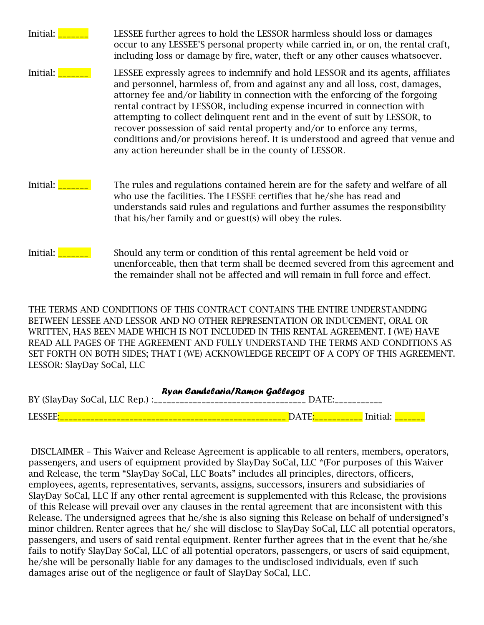| Initial: | LESSEE further agrees to hold the LESSOR harmless should loss or damages<br>occur to any LESSEE'S personal property while carried in, or on, the rental craft,<br>including loss or damage by fire, water, theft or any other causes whatsoever.                                                                                                                                                                                                                                                                                                                                                                                       |
|----------|----------------------------------------------------------------------------------------------------------------------------------------------------------------------------------------------------------------------------------------------------------------------------------------------------------------------------------------------------------------------------------------------------------------------------------------------------------------------------------------------------------------------------------------------------------------------------------------------------------------------------------------|
| Initial: | LESSEE expressly agrees to indemnify and hold LESSOR and its agents, affiliates<br>and personnel, harmless of, from and against any and all loss, cost, damages,<br>attorney fee and/or liability in connection with the enforcing of the forgoing<br>rental contract by LESSOR, including expense incurred in connection with<br>attempting to collect delinquent rent and in the event of suit by LESSOR, to<br>recover possession of said rental property and/or to enforce any terms,<br>conditions and/or provisions hereof. It is understood and agreed that venue and<br>any action hereunder shall be in the county of LESSOR. |
| Initial: | The rules and regulations contained herein are for the safety and welfare of all<br>who use the facilities. The LESSEE certifies that he/she has read and<br>understands said rules and regulations and further assumes the responsibility<br>that his/her family and or guest(s) will obey the rules.                                                                                                                                                                                                                                                                                                                                 |
| Initial: | Should any term or condition of this rental agreement be held void or<br>unenforceable, then that term shall be deemed severed from this agreement and<br>the remainder shall not be affected and will remain in full force and effect.                                                                                                                                                                                                                                                                                                                                                                                                |

THE TERMS AND CONDITIONS OF THIS CONTRACT CONTAINS THE ENTIRE UNDERSTANDING BETWEEN LESSEE AND LESSOR AND NO OTHER REPRESENTATION OR INDUCEMENT, ORAL OR WRITTEN, HAS BEEN MADE WHICH IS NOT INCLUDED IN THIS RENTAL AGREEMENT. I (WE) HAVE READ ALL PAGES OF THE AGREEMENT AND FULLY UNDERSTAND THE TERMS AND CONDITIONS AS SET FORTH ON BOTH SIDES; THAT I (WE) ACKNOWLEDGE RECEIPT OF A COPY OF THIS AGREEMENT. LESSOR: SlayDay SoCal, LLC

| Ryan Candelaria/Ramon Gallegos |       |          |  |  |  |
|--------------------------------|-------|----------|--|--|--|
|                                | DATE: |          |  |  |  |
| LESSEE:                        |       | Initial: |  |  |  |

DISCLAIMER – This Waiver and Release Agreement is applicable to all renters, members, operators, passengers, and users of equipment provided by SlayDay SoCal, LLC \*(For purposes of this Waiver and Release, the term "SlayDay SoCal, LLC Boats" includes all principles, directors, officers, employees, agents, representatives, servants, assigns, successors, insurers and subsidiaries of SlayDay SoCal, LLC If any other rental agreement is supplemented with this Release, the provisions of this Release will prevail over any clauses in the rental agreement that are inconsistent with this Release. The undersigned agrees that he/she is also signing this Release on behalf of undersigned's minor children. Renter agrees that he/ she will disclose to SlayDay SoCal, LLC all potential operators, passengers, and users of said rental equipment. Renter further agrees that in the event that he/she fails to notify SlayDay SoCal, LLC of all potential operators, passengers, or users of said equipment, he/she will be personally liable for any damages to the undisclosed individuals, even if such damages arise out of the negligence or fault of SlayDay SoCal, LLC.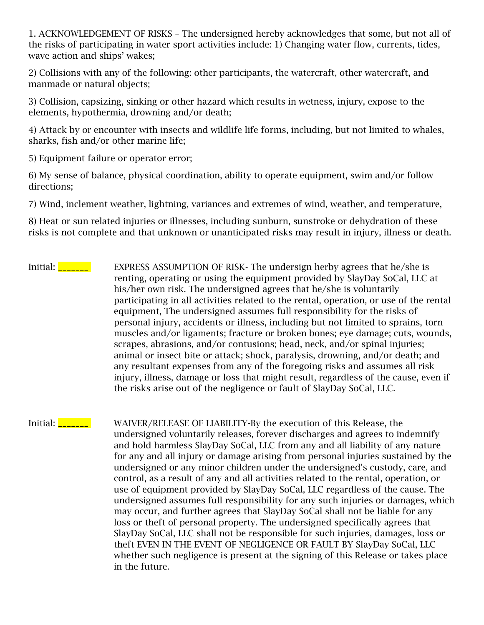1. ACKNOWLEDGEMENT OF RISKS – The undersigned hereby acknowledges that some, but not all of the risks of participating in water sport activities include: 1) Changing water flow, currents, tides, wave action and ships' wakes;

2) Collisions with any of the following: other participants, the watercraft, other watercraft, and manmade or natural objects;

3) Collision, capsizing, sinking or other hazard which results in wetness, injury, expose to the elements, hypothermia, drowning and/or death;

4) Attack by or encounter with insects and wildlife life forms, including, but not limited to whales, sharks, fish and/or other marine life;

5) Equipment failure or operator error;

6) My sense of balance, physical coordination, ability to operate equipment, swim and/or follow directions;

7) Wind, inclement weather, lightning, variances and extremes of wind, weather, and temperature,

8) Heat or sun related injuries or illnesses, including sunburn, sunstroke or dehydration of these risks is not complete and that unknown or unanticipated risks may result in injury, illness or death.

Initial: **\_\_\_\_\_\_** EXPRESS ASSUMPTION OF RISK- The undersign herby agrees that he/she is renting, operating or using the equipment provided by SlayDay SoCal, LLC at his/her own risk. The undersigned agrees that he/she is voluntarily participating in all activities related to the rental, operation, or use of the rental equipment, The undersigned assumes full responsibility for the risks of personal injury, accidents or illness, including but not limited to sprains, torn muscles and/or ligaments; fracture or broken bones; eye damage; cuts, wounds, scrapes, abrasions, and/or contusions; head, neck, and/or spinal injuries; animal or insect bite or attack; shock, paralysis, drowning, and/or death; and any resultant expenses from any of the foregoing risks and assumes all risk injury, illness, damage or loss that might result, regardless of the cause, even if the risks arise out of the negligence or fault of SlayDay SoCal, LLC.

Initial: **WAIVER/RELEASE OF LIABILITY-By the execution of this Release, the** undersigned voluntarily releases, forever discharges and agrees to indemnify and hold harmless SlayDay SoCal, LLC from any and all liability of any nature for any and all injury or damage arising from personal injuries sustained by the undersigned or any minor children under the undersigned's custody, care, and control, as a result of any and all activities related to the rental, operation, or use of equipment provided by SlayDay SoCal, LLC regardless of the cause. The undersigned assumes full responsibility for any such injuries or damages, which may occur, and further agrees that SlayDay SoCal shall not be liable for any loss or theft of personal property. The undersigned specifically agrees that SlayDay SoCal, LLC shall not be responsible for such injuries, damages, loss or theft EVEN IN THE EVENT OF NEGLIGENCE OR FAULT BY SlayDay SoCal, LLC whether such negligence is present at the signing of this Release or takes place in the future.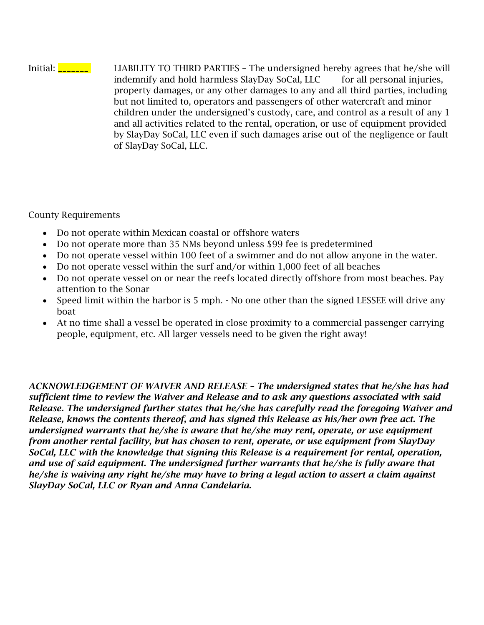Initial: **\_\_\_\_\_\_** LIABILITY TO THIRD PARTIES - The undersigned hereby agrees that he/she will indemnify and hold harmless SlayDay SoCal, LLC for all personal injuries, property damages, or any other damages to any and all third parties, including but not limited to, operators and passengers of other watercraft and minor children under the undersigned's custody, care, and control as a result of any 1 and all activities related to the rental, operation, or use of equipment provided by SlayDay SoCal, LLC even if such damages arise out of the negligence or fault of SlayDay SoCal, LLC.

County Requirements

- Do not operate within Mexican coastal or offshore waters
- Do not operate more than 35 NMs beyond unless \$99 fee is predetermined
- Do not operate vessel within 100 feet of a swimmer and do not allow anyone in the water.
- Do not operate vessel within the surf and/or within 1,000 feet of all beaches
- Do not operate vessel on or near the reefs located directly offshore from most beaches. Pay attention to the Sonar
- Speed limit within the harbor is 5 mph. No one other than the signed LESSEE will drive any boat
- At no time shall a vessel be operated in close proximity to a commercial passenger carrying people, equipment, etc. All larger vessels need to be given the right away!

*ACKNOWLEDGEMENT OF WAIVER AND RELEASE – The undersigned states that he/she has had sufficient time to review the Waiver and Release and to ask any questions associated with said Release. The undersigned further states that he/she has carefully read the foregoing Waiver and Release, knows the contents thereof, and has signed this Release as his/her own free act. The undersigned warrants that he/she is aware that he/she may rent, operate, or use equipment from another rental facility, but has chosen to rent, operate, or use equipment from SlayDay SoCal, LLC with the knowledge that signing this Release is a requirement for rental, operation, and use of said equipment. The undersigned further warrants that he/she is fully aware that he/she is waiving any right he/she may have to bring a legal action to assert a claim against SlayDay SoCal, LLC or Ryan and Anna Candelaria.*